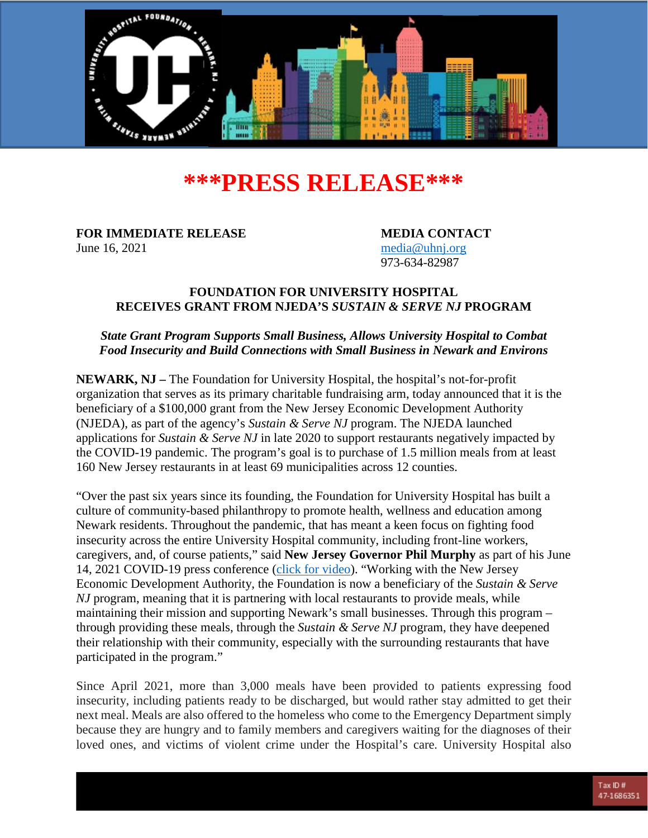

# **\*\*\*PRESS RELEASE\*\*\***

**FOR IMMEDIATE RELEASE MEDIA CONTACT** June 16, 2021 [media@uhnj.org](mailto:media@uhnj.org)

973-634-82987

#### **FOUNDATION FOR UNIVERSITY HOSPITAL RECEIVES GRANT FROM NJEDA'S** *SUSTAIN & SERVE NJ* **PROGRAM**

## *State Grant Program Supports Small Business, Allows University Hospital to Combat Food Insecurity and Build Connections with Small Business in Newark and Environs*

**NEWARK, NJ –** The Foundation for University Hospital, the hospital's not-for-profit organization that serves as its primary charitable fundraising arm, today announced that it is the beneficiary of a \$100,000 grant from the New Jersey Economic Development Authority (NJEDA), as part of the agency's *Sustain & Serve NJ* program. The NJEDA launched applications for *Sustain & Serve NJ* in late 2020 to support restaurants negatively impacted by the COVID-19 pandemic. The program's goal is to purchase of 1.5 million meals from at least 160 New Jersey restaurants in at least 69 municipalities across 12 counties.

"Over the past six years since its founding, the Foundation for University Hospital has built a culture of community-based philanthropy to promote health, wellness and education among Newark residents. Throughout the pandemic, that has meant a keen focus on fighting food insecurity across the entire University Hospital community, including front-line workers, caregivers, and, of course patients," said **New Jersey Governor Phil Murphy** as part of his June 14, 2021 COVID-19 press conference [\(click for video\)](https://www.uhnjfoundation.org/). "Working with the New Jersey Economic Development Authority, the Foundation is now a beneficiary of the *Sustain & Serve NJ* program, meaning that it is partnering with local restaurants to provide meals, while maintaining their mission and supporting Newark's small businesses. Through this program – through providing these meals, through the *Sustain & Serve NJ* program, they have deepened their relationship with their community, especially with the surrounding restaurants that have participated in the program."

Since April 2021, more than 3,000 meals have been provided to patients expressing food insecurity, including patients ready to be discharged, but would rather stay admitted to get their next meal. Meals are also offered to the homeless who come to the Emergency Department simply because they are hungry and to family members and caregivers waiting for the diagnoses of their loved ones, and victims of violent crime under the Hospital's care. University Hospital also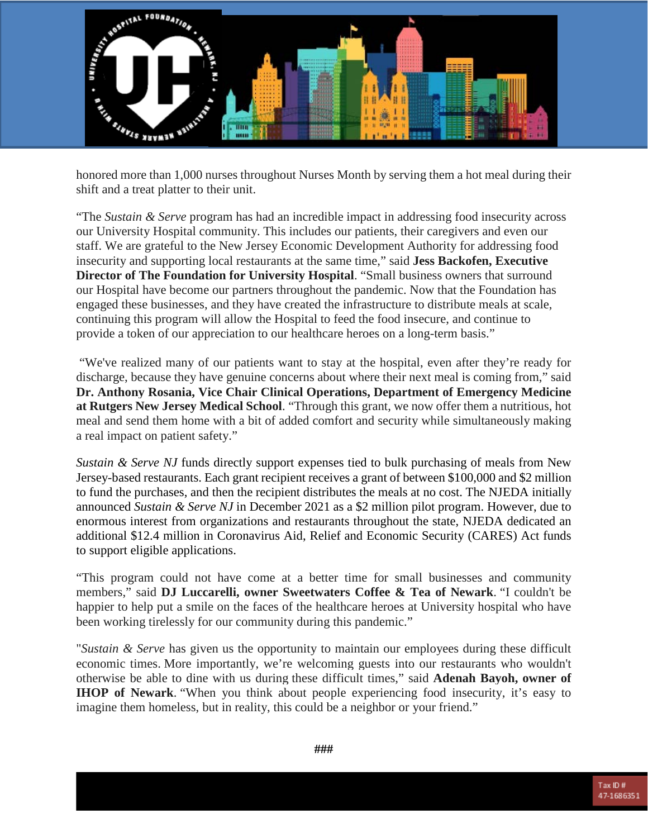

honored more than 1,000 nurses throughout Nurses Month by serving them a hot meal during their shift and a treat platter to their unit.

"The *Sustain & Serve* program has had an incredible impact in addressing food insecurity across our University Hospital community. This includes our patients, their caregivers and even our staff. We are grateful to the New Jersey Economic Development Authority for addressing food insecurity and supporting local restaurants at the same time," said **Jess Backofen, Executive Director of The Foundation for University Hospital**. "Small business owners that surround our Hospital have become our partners throughout the pandemic. Now that the Foundation has engaged these businesses, and they have created the infrastructure to distribute meals at scale, continuing this program will allow the Hospital to feed the food insecure, and continue to provide a token of our appreciation to our healthcare heroes on a long-term basis."

"We've realized many of our patients want to stay at the hospital, even after they're ready for discharge, because they have genuine concerns about where their next meal is coming from," said **Dr. Anthony Rosania, Vice Chair Clinical Operations, Department of Emergency Medicine at Rutgers New Jersey Medical School**. "Through this grant, we now offer them a nutritious, hot meal and send them home with a bit of added comfort and security while simultaneously making a real impact on patient safety."

*Sustain & Serve NJ* funds directly support expenses tied to bulk purchasing of meals from New Jersey-based restaurants. Each grant recipient receives a grant of between \$100,000 and \$2 million to fund the purchases, and then the recipient distributes the meals at no cost. The NJEDA initially announced *Sustain & Serve NJ* in December 2021 as a \$2 million pilot program. However, due to enormous interest from organizations and restaurants throughout the state, NJEDA dedicated an additional \$12.4 million in Coronavirus Aid, Relief and Economic Security (CARES) Act funds to support eligible applications.

"This program could not have come at a better time for small businesses and community members," said **DJ Luccarelli, owner Sweetwaters Coffee & Tea of Newark**. "I couldn't be happier to help put a smile on the faces of the healthcare heroes at University hospital who have been working tirelessly for our community during this pandemic."

"*Sustain & Serve* has given us the opportunity to maintain our employees during these difficult economic times. More importantly, we're welcoming guests into our restaurants who wouldn't otherwise be able to dine with us during these difficult times," said **Adenah Bayoh, owner of IHOP of Newark**. "When you think about people experiencing food insecurity, it's easy to imagine them homeless, but in reality, this could be a neighbor or your friend."